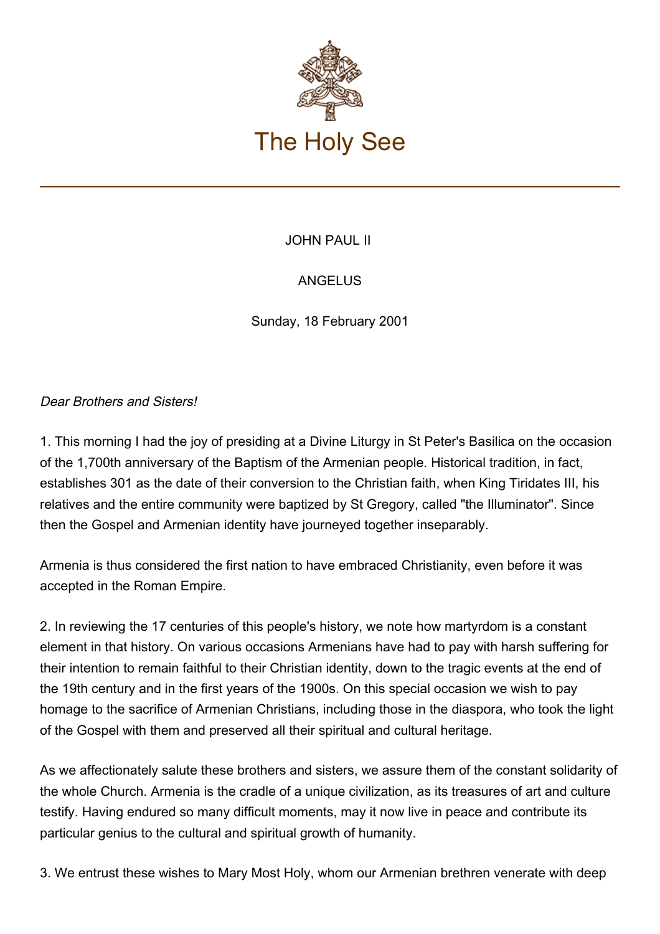

## JOHN PAUL II

## ANGELUS

Sunday, 18 February 2001

## Dear Brothers and Sisters!

1. This morning I had the joy of presiding at a Divine Liturgy in St Peter's Basilica on the occasion of the 1,700th anniversary of the Baptism of the Armenian people. Historical tradition, in fact, establishes 301 as the date of their conversion to the Christian faith, when King Tiridates III, his relatives and the entire community were baptized by St Gregory, called "the Illuminator". Since then the Gospel and Armenian identity have journeyed together inseparably.

Armenia is thus considered the first nation to have embraced Christianity, even before it was accepted in the Roman Empire.

2. In reviewing the 17 centuries of this people's history, we note how martyrdom is a constant element in that history. On various occasions Armenians have had to pay with harsh suffering for their intention to remain faithful to their Christian identity, down to the tragic events at the end of the 19th century and in the first years of the 1900s. On this special occasion we wish to pay homage to the sacrifice of Armenian Christians, including those in the diaspora, who took the light of the Gospel with them and preserved all their spiritual and cultural heritage.

As we affectionately salute these brothers and sisters, we assure them of the constant solidarity of the whole Church. Armenia is the cradle of a unique civilization, as its treasures of art and culture testify. Having endured so many difficult moments, may it now live in peace and contribute its particular genius to the cultural and spiritual growth of humanity.

3. We entrust these wishes to Mary Most Holy, whom our Armenian brethren venerate with deep